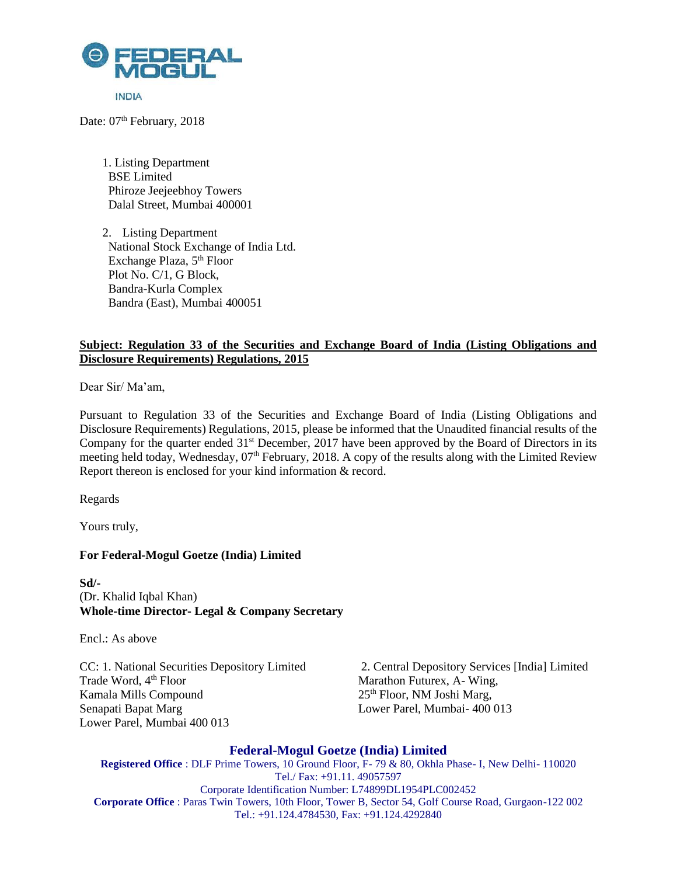

Date: 07<sup>th</sup> February, 2018

1. Listing Department BSE Limited Phiroze Jeejeebhoy Towers Dalal Street, Mumbai 400001

2. Listing Department National Stock Exchange of India Ltd. Exchange Plaza, 5<sup>th</sup> Floor Plot No. C/1, G Block, Bandra-Kurla Complex Bandra (East), Mumbai 400051

# **Subject: Regulation 33 of the Securities and Exchange Board of India (Listing Obligations and Disclosure Requirements) Regulations, 2015**

Dear Sir/ Ma'am,

Pursuant to Regulation 33 of the Securities and Exchange Board of India (Listing Obligations and Disclosure Requirements) Regulations, 2015, please be informed that the Unaudited financial results of the Company for the quarter ended 31<sup>st</sup> December, 2017 have been approved by the Board of Directors in its meeting held today, Wednesday, 07<sup>th</sup> February, 2018. A copy of the results along with the Limited Review Report thereon is enclosed for your kind information & record.

Regards

Yours truly,

## **For Federal-Mogul Goetze (India) Limited**

**Sd/-** (Dr. Khalid Iqbal Khan) **Whole-time Director- Legal & Company Secretary**

Encl.: As above

Kamala Mills Compound 25<sup>th</sup> Floor, NM Joshi Marg, Senapati Bapat Marg Lower Parel, Mumbai- 400 013 Lower Parel, Mumbai 400 013

CC: 1. National Securities Depository Limited 2. Central Depository Services [India] Limited<br>Trade Word,  $4^{\text{th}}$  Floor Marathon Futurex, A-Wing, Marathon Futurex, A- Wing,

## **Federal-Mogul Goetze (India) Limited**

**Registered Office** : DLF Prime Towers, 10 Ground Floor, F- 79 & 80, Okhla Phase- I, New Delhi- 110020 Tel./ Fax: +91.11. 49057597 Corporate Identification Number: L74899DL1954PLC002452 **Corporate Office** : Paras Twin Towers, 10th Floor, Tower B, Sector 54, Golf Course Road, Gurgaon-122 002 Tel.: +91.124.4784530, Fax: +91.124.4292840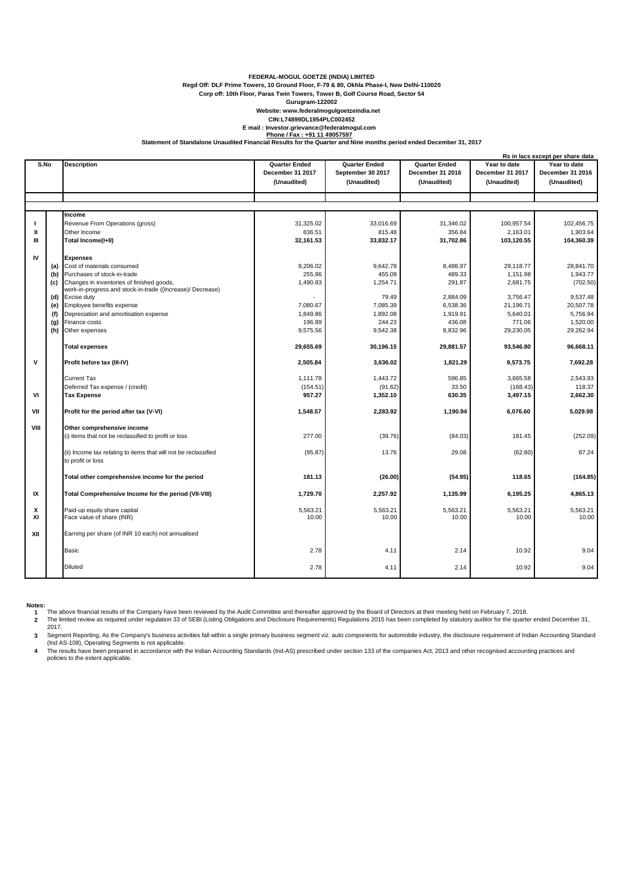#### **FEDERAL-MOGUL GOETZE (INDIA) LIMITED**

**Regd Off: DLF Prime Towers, 10 Ground Floor, F-79 & 80, Okhla Phase-I, New Delhi-110020**

**Corp off: 10th Floor, Paras Twin Towers, Tower B, Golf Course Road, Sector 54**

**Gurugram-122002**

### **Website: www.federalmogulgoetzeindia.net**

**CIN:L74899DL1954PLC002452**

E mail : Investor.grievance@federalmogul.com<br>Phone / Fax : +91 11 49057597<br>Statement of Standalone Unaudited Financial Results for the Quarter and Nine months period ended December 31, 2017

|         |     | Rs in lacs except per share data                                                                        |                      |                      |                      |                   |                   |  |  |
|---------|-----|---------------------------------------------------------------------------------------------------------|----------------------|----------------------|----------------------|-------------------|-------------------|--|--|
| S.No    |     | <b>Description</b>                                                                                      | <b>Quarter Ended</b> | <b>Quarter Ended</b> | <b>Quarter Ended</b> | Year to date      | Year to date      |  |  |
|         |     |                                                                                                         | December 31 2017     | September 30 2017    | December 31 2016     | December 31 2017  | December 31 2016  |  |  |
|         |     |                                                                                                         | (Unaudited)          | (Unaudited)          | (Unaudited)          | (Unaudited)       | (Unaudited)       |  |  |
|         |     |                                                                                                         |                      |                      |                      |                   |                   |  |  |
|         |     |                                                                                                         |                      |                      |                      |                   |                   |  |  |
|         |     | Income                                                                                                  |                      |                      |                      |                   |                   |  |  |
| J.      |     | Revenue From Operations (gross)                                                                         | 31,325.02            | 33,016.69            | 31,346.02            | 100,957.54        | 102,456.75        |  |  |
| Ш       |     | Other Income                                                                                            | 836.51               | 815.48               | 356.84               | 2,163.01          | 1,903.64          |  |  |
| Ш       |     | Total Income(I+II)                                                                                      | 32,161.53            | 33,832.17            | 31,702.86            | 103,120.55        | 104,360.39        |  |  |
|         |     |                                                                                                         |                      |                      |                      |                   |                   |  |  |
| IV      |     | <b>Expenses</b>                                                                                         |                      |                      |                      |                   |                   |  |  |
|         | (a) | Cost of materials consumed                                                                              | 9,206.02             | 9,642.78             | 8,488.97             | 29,118.77         | 28,841.70         |  |  |
|         | (b) | Purchases of stock-in-trade                                                                             | 255.86               | 455.09               | 489.33               | 1,151.98          | 1,943.77          |  |  |
|         | (c) | Changes in inventories of finished goods,<br>work-in-progress and stock-in-trade ((Increase)/ Decrease) | 1,490.83             | 1,254.71             | 291.87               | 2,681.75          | (702.50)          |  |  |
|         | (d) | Excise duty                                                                                             |                      | 79.49                | 2,884.09             | 3,756.47          | 9,537.48          |  |  |
|         | (e) | Employee benefits expense                                                                               | 7,080.67             | 7,085.39             | 6,538.36             | 21,196.71         | 20,507.78         |  |  |
|         | (f) | Depreciation and amortisation expense                                                                   | 1,849.86             | 1,892.08             | 1,919.91             | 5,640.01          | 5,756.94          |  |  |
|         | (g) | Finance costs                                                                                           | 196.89               | 244.23               | 436.08               | 771.06            | 1,520.00          |  |  |
|         | (h) | Other expenses                                                                                          | 9,575.56             | 9,542.38             | 8,832.96             | 29,230.05         | 29,262.94         |  |  |
|         |     | <b>Total expenses</b>                                                                                   | 29,655.69            | 30,196.15            | 29,881.57            | 93,546.80         | 96,668.11         |  |  |
| v       |     | Profit before tax (III-IV)                                                                              | 2.505.84             | 3.636.02             | 1.821.29             | 9.573.75          | 7.692.28          |  |  |
|         |     | <b>Current Tax</b>                                                                                      | 1.111.78             | 1.443.72             | 596.85               | 3.665.58          | 2,543.93          |  |  |
|         |     | Deferred Tax expense / (credit)                                                                         | (154.51)             | (91.62)              | 33.50                | (168.43)          | 118.37            |  |  |
| VI      |     | <b>Tax Expense</b>                                                                                      | 957.27               | 1,352.10             | 630.35               | 3,497.15          | 2,662.30          |  |  |
| VII     |     | Profit for the period after tax (V-VI)                                                                  | 1,548.57             | 2,283.92             | 1,190.94             | 6,076.60          | 5,029.98          |  |  |
| VIII    |     | Other comprehensive income                                                                              |                      |                      |                      |                   |                   |  |  |
|         |     | (i) items that not be reclassified to profit or loss                                                    | 277.00               | (39.76)              | (84.03)              | 181.45            | (252.09)          |  |  |
|         |     | (ii) Income tax relating to items that will not be reclassified<br>to profit or loss                    | (95.87)              | 13.76                | 29.08                | (62.80)           | 87.24             |  |  |
|         |     | Total other comprehensive income for the period                                                         | 181.13               | (26.00)              | (54.95)              | 118.65            | (164.85)          |  |  |
| IX      |     | Total Comprehensive Income for the period (VII-VIII)                                                    | 1,729.70             | 2,257.92             | 1,135.99             | 6,195.25          | 4,865.13          |  |  |
| x<br>XI |     | Paid-up equity share capital<br>Face value of share (INR)                                               | 5,563.21<br>10.00    | 5,563.21<br>10.00    | 5,563.21<br>10.00    | 5,563.21<br>10.00 | 5,563.21<br>10.00 |  |  |
| XII     |     | Earning per share (of INR 10 each) not annualised                                                       |                      |                      |                      |                   |                   |  |  |
|         |     | <b>Basic</b>                                                                                            | 2.78                 | 4.11                 | 2.14                 | 10.92             | 9.04              |  |  |
|         |     | <b>Diluted</b>                                                                                          | 2.78                 | 4.11                 | 2.14                 | 10.92             | 9.04              |  |  |

**Notes:**

1 The above financial results of the Company have been reviewed by the Audit Committee and thereafter approved by the Board of Directors at their meeting held on February 7, 2018.<br>2 The limited review as required under reg

2017.

3 Segment Reporting, As the Company's business activities fall within a single primary business segment viz. auto components for automobile industry, the disclosure requirement of Indian Accounting Standard<br>(Ind AS-108), O **4** The results have been prepared in accordance with the Indian Accounting Standards (Ind-AS) prescribed under section 133 of the companies Act, 2013 and other recognised accounting practices and

policies to the extent applicable.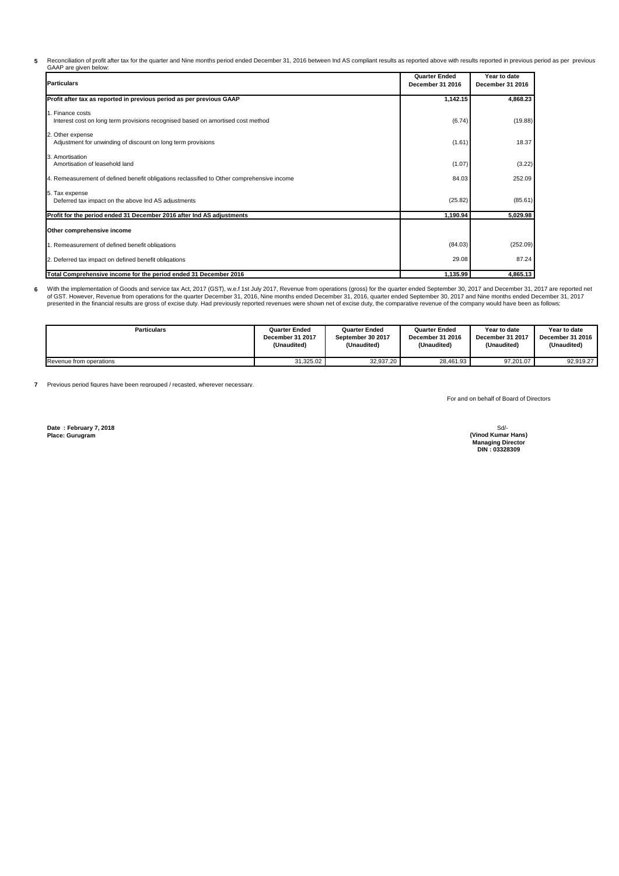**5** Reconciliation of profit after tax for the quarter and Nine months period ended December 31, 2016 between Ind AS compliant results as reported above with results reported in previous period as per previous<br>GAAP are given b

| <b>Particulars</b>                                                                                  | <b>Quarter Ended</b><br>December 31 2016 | Year to date<br>December 31 2016 |
|-----------------------------------------------------------------------------------------------------|------------------------------------------|----------------------------------|
| Profit after tax as reported in previous period as per previous GAAP                                | 1,142.15                                 | 4,868.23                         |
| 1. Finance costs<br>Interest cost on long term provisions recognised based on amortised cost method | (6.74)                                   | (19.88)                          |
| 2. Other expense<br>Adjustment for unwinding of discount on long term provisions                    | (1.61)                                   | 18.37                            |
| 3. Amortisation<br>Amortisation of leasehold land                                                   | (1.07)                                   | (3.22)                           |
| 4. Remeasurement of defined benefit obligations reclassified to Other comprehensive income          | 84.03                                    | 252.09                           |
| 5. Tax expense<br>Deferred tax impact on the above Ind AS adjustments                               | (25.82)                                  | (85.61)                          |
| Profit for the period ended 31 December 2016 after Ind AS adjustments                               | 1,190.94                                 | 5,029.98                         |
| Other comprehensive income                                                                          |                                          |                                  |
| 1. Remeasurement of defined benefit obligations                                                     | (84.03)                                  | (252.09)                         |
| 2. Deferred tax impact on defined benefit obligations                                               | 29.08                                    | 87.24                            |
| Total Comprehensive income for the period ended 31 December 2016                                    | 1,135.99                                 | 4,865.13                         |

**6** With the implementation of Goods and service tax Act, 2017 (GST), w.e.f 1st July 2017, Revenue from operations (gross) for the quarter ended September 30, 2017 and December 31, 2017 are reported net<br>of GST. However, Revenu

| <b>Particulars</b>      | <b>Quarter Ended</b> | <b>Quarter Ended</b> | <b>Quarter Ended</b> | Year to date     | Year to date     |
|-------------------------|----------------------|----------------------|----------------------|------------------|------------------|
|                         | December 31 2017     | September 30 2017    | December 31 2016     | December 31 2017 | December 31 2016 |
|                         | (Unaudited)          | (Unaudited)          | (Unaudited)          | (Unaudited)      | (Unaudited)      |
| Revenue from operations | 31.325.02            | 32.937.20            | 28.461.93            | 97.201.07        | 92.919.27        |

**7** Previous period figures have been regrouped / recasted, wherever necessary.

For and on behalf of Board of Directors

**Date : February 7, 2018 Place: Gurugram**

Sd/- **DIN : 03328309 Managing Director (Vinod Kumar Hans)**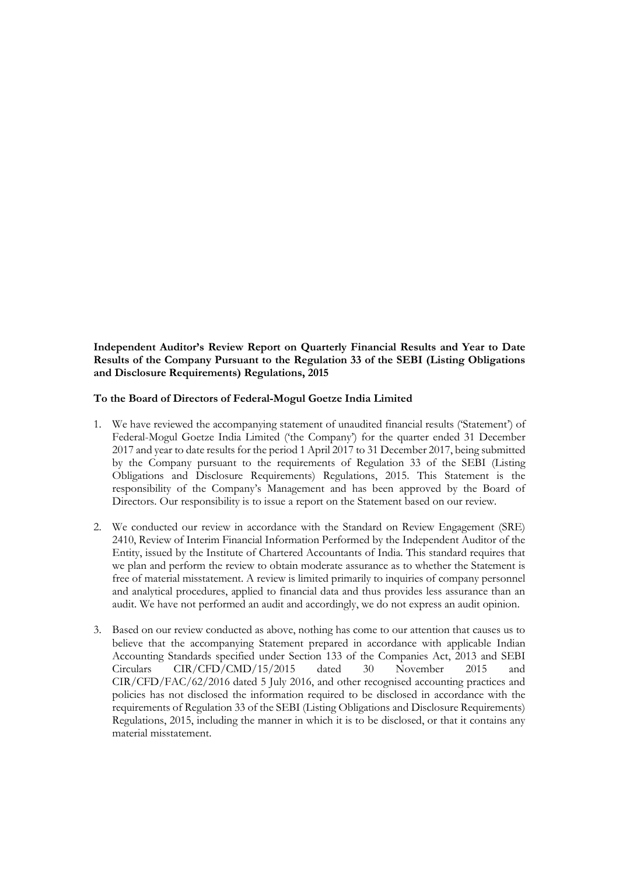**Independent Auditor's Review Report on Quarterly Financial Results and Year to Date Results of the Company Pursuant to the Regulation 33 of the SEBI (Listing Obligations and Disclosure Requirements) Regulations, 2015**

### **To the Board of Directors of Federal-Mogul Goetze India Limited**

- 1. We have reviewed the accompanying statement of unaudited financial results ('Statement') of Federal-Mogul Goetze India Limited ('the Company') for the quarter ended 31 December 2017 and year to date results for the period 1 April 2017 to 31 December 2017, being submitted by the Company pursuant to the requirements of Regulation 33 of the SEBI (Listing Obligations and Disclosure Requirements) Regulations, 2015. This Statement is the responsibility of the Company's Management and has been approved by the Board of Directors. Our responsibility is to issue a report on the Statement based on our review.
- 2. We conducted our review in accordance with the Standard on Review Engagement (SRE) 2410, Review of Interim Financial Information Performed by the Independent Auditor of the Entity, issued by the Institute of Chartered Accountants of India. This standard requires that we plan and perform the review to obtain moderate assurance as to whether the Statement is free of material misstatement. A review is limited primarily to inquiries of company personnel and analytical procedures, applied to financial data and thus provides less assurance than an audit. We have not performed an audit and accordingly, we do not express an audit opinion.
- 3. Based on our review conducted as above, nothing has come to our attention that causes us to believe that the accompanying Statement prepared in accordance with applicable Indian Accounting Standards specified under Section 133 of the Companies Act, 2013 and SEBI Circulars CIR/CFD/CMD/15/2015 dated 30 November 2015 and CIR/CFD/FAC/62/2016 dated 5 July 2016, and other recognised accounting practices and policies has not disclosed the information required to be disclosed in accordance with the requirements of Regulation 33 of the SEBI (Listing Obligations and Disclosure Requirements) Regulations, 2015, including the manner in which it is to be disclosed, or that it contains any material misstatement.